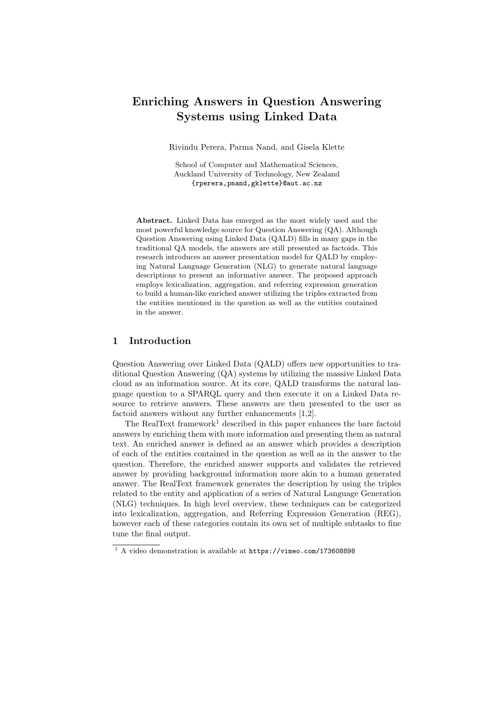# Enriching Answers in Question Answering Systems using Linked Data

Rivindu Perera, Parma Nand, and Gisela Klette

School of Computer and Mathematical Sciences, Auckland University of Technology, New Zealand {rperera,pnand,gklette}@aut.ac.nz

Abstract. Linked Data has emerged as the most widely used and the most powerful knowledge source for Question Answering (QA). Although Question Answering using Linked Data (QALD) fills in many gaps in the traditional QA models, the answers are still presented as factoids. This research introduces an answer presentation model for QALD by employing Natural Language Generation (NLG) to generate natural language descriptions to present an informative answer. The proposed approach employs lexicalization, aggregation, and referring expression generation to build a human-like enriched answer utilizing the triples extracted from the entities mentioned in the question as well as the entities contained in the answer.

# 1 Introduction

Question Answering over Linked Data (QALD) offers new opportunities to traditional Question Answering (QA) systems by utilizing the massive Linked Data cloud as an information source. At its core, QALD transforms the natural language question to a SPARQL query and then execute it on a Linked Data resource to retrieve answers. These answers are then presented to the user as factoid answers without any further enhancements [\[1,](#page-3-0)[2\]](#page-3-1).

The RealText framework<sup>[1](#page-0-0)</sup> described in this paper enhances the bare factoid answers by enriching them with more information and presenting them as natural text. An enriched answer is defined as an answer which provides a description of each of the entities contained in the question as well as in the answer to the question. Therefore, the enriched answer supports and validates the retrieved answer by providing background information more akin to a human generated answer. The RealText framework generates the description by using the triples related to the entity and application of a series of Natural Language Generation (NLG) techniques. In high level overview, these techniques can be categorized into lexicalization, aggregation, and Referring Expression Generation (REG), however each of these categories contain its own set of multiple subtasks to fine tune the final output.

<span id="page-0-0"></span><sup>1</sup> A video demonstration is available at <https://vimeo.com/173608898>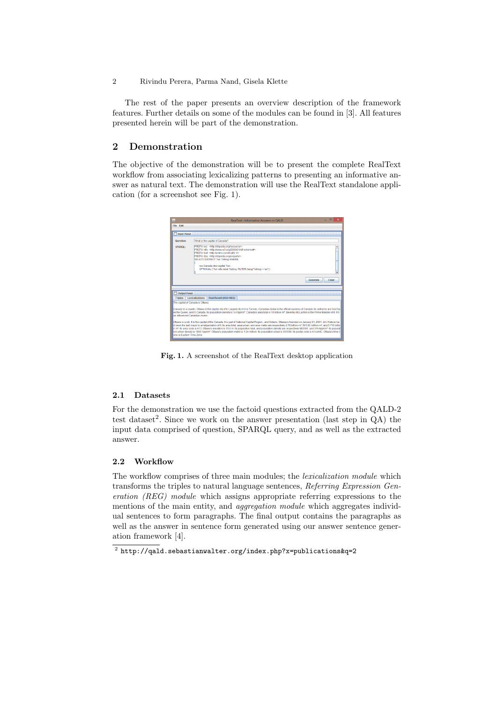2 Rivindu Perera, Parma Nand, Gisela Klette

The rest of the paper presents an overview description of the framework features. Further details on some of the modules can be found in [\[3\]](#page-3-2). All features presented herein will be part of the demonstration.

## 2 Demonstration

The objective of the demonstration will be to present the complete RealText workflow from associating lexicalizing patterns to presenting an informative answer as natural text. The demonstration will use the RealText standalone application (for a screenshot see Fig. [1\)](#page-1-0).



Fig. 1. A screenshot of the RealText desktop application

#### <span id="page-1-0"></span>2.1 Datasets

For the demonstration we use the factoid questions extracted from the QALD-2 test dataset<sup>[2](#page-1-1)</sup>. Since we work on the answer presentation (last step in  $QA$ ) the input data comprised of question, SPARQL query, and as well as the extracted answer.

## 2.2 Workflow

The workflow comprises of three main modules; the lexicalization module which transforms the triples to natural language sentences, Referring Expression Generation (REG) module which assigns appropriate referring expressions to the mentions of the main entity, and *aggregation module* which aggregates individual sentences to form paragraphs. The final output contains the paragraphs as well as the answer in sentence form generated using our answer sentence generation framework [\[4\]](#page-3-3).

<span id="page-1-1"></span> $^{\text{2}}$  <http://qald.sebastianwalter.org/index.php?x=publications&q=2>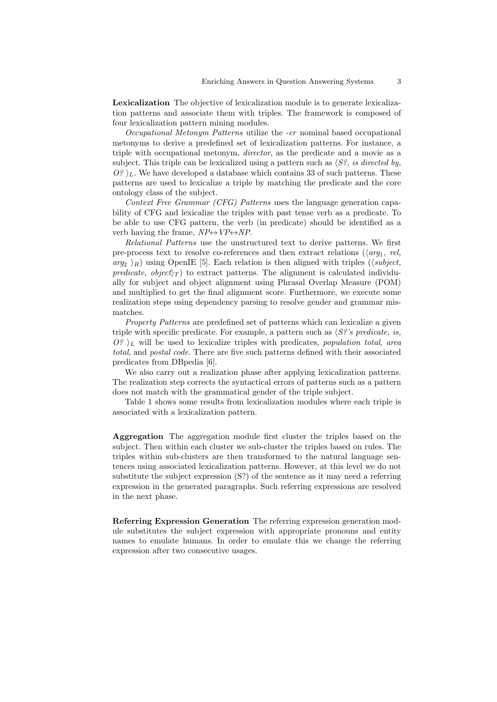Lexicalization The objective of lexicalization module is to generate lexicalization patterns and associate them with triples. The framework is composed of four lexicalization pattern mining modules.

Occupational Metonym Patterns utilize the -er nominal based occupational metonyms to derive a predefined set of lexicalization patterns. For instance, a triple with occupational metonym, director, as the predicate and a movie as a subject. This triple can be lexicalized using a pattern such as  $\langle S^2 \rangle$ , is directed by,  $O^2$ , We have developed a database which contains 33 of such patterns. These patterns are used to lexicalize a triple by matching the predicate and the core ontology class of the subject.

Context Free Grammar (CFG) Patterns uses the language generation capability of CFG and lexicalize the triples with past tense verb as a predicate. To be able to use CFG pattern, the verb (in predicate) should be identified as a verb having the frame,  $NP \leftrightarrow VP \leftrightarrow NP$ .

Relational Patterns use the unstructured text to derive patterns. We first pre-process text to resolve co-references and then extract relations  $(\langle arg_1, rel \rangle)$  $arg_2$   $\rangle_R$ ) using OpenIE [\[5\]](#page-3-4). Each relation is then aligned with triples (*subject*, predicate, object $\gamma_T$  to extract patterns. The alignment is calculated individually for subject and object alignment using Phrasal Overlap Measure (POM) and multiplied to get the final alignment score. Furthermore, we execute some realization steps using dependency parsing to resolve gender and grammar mismatches.

Property Patterns are predefined set of patterns which can lexicalize a given triple with specific predicate. For example, a pattern such as  $\langle S^2 \rangle^s$  predicate, is,  $O^2$ )<sub>L</sub> will be used to lexicalize triples with predicates, *population total, area* total, and postal code. There are five such patterns defined with their associated predicates from DBpedia [\[6\]](#page-3-5).

We also carry out a realization phase after applying lexicalization patterns. The realization step corrects the syntactical errors of patterns such as a pattern does not match with the grammatical gender of the triple subject.

Table [1](#page-3-6) shows some results from lexicalization modules where each triple is associated with a lexicalization pattern.

Aggregation The aggregation module first cluster the triples based on the subject. Then within each cluster we sub-cluster the triples based on rules. The triples within sub-clusters are then transformed to the natural language sentences using associated lexicalization patterns. However, at this level we do not substitute the subject expression (S?) of the sentence as it may need a referring expression in the generated paragraphs. Such referring expressions are resolved in the next phase.

Referring Expression Generation The referring expression generation module substitutes the subject expression with appropriate pronouns and entity names to emulate humans. In order to emulate this we change the referring expression after two consecutive usages.